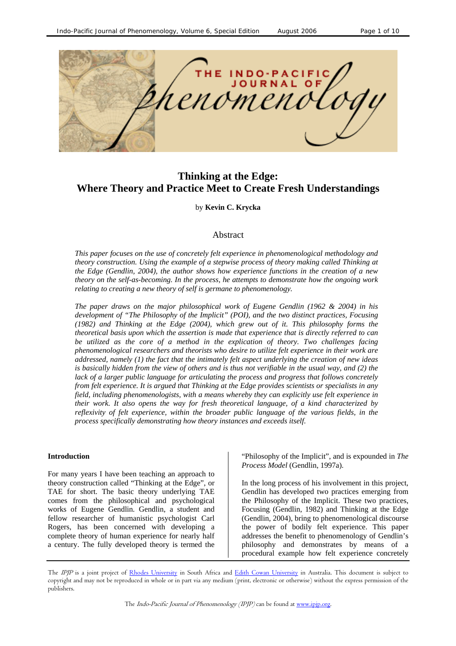

# **Thinking at the Edge: Where Theory and Practice Meet to Create Fresh Understandings**

by **Kevin C. Krycka**

#### Abstract

*This paper focuses on the use of concretely felt experience in phenomenological methodology and theory construction. Using the example of a stepwise process of theory making called Thinking at the Edge (Gendlin, 2004), the author shows how experience functions in the creation of a new theory on the self-as-becoming. In the process, he attempts to demonstrate how the ongoing work relating to creating a new theory of self is germane to phenomenology.* 

*The paper draws on the major philosophical work of Eugene Gendlin (1962 & 2004) in his development of "The Philosophy of the Implicit" (POI), and the two distinct practices, Focusing (1982) and Thinking at the Edge (2004), which grew out of it. This philosophy forms the theoretical basis upon which the assertion is made that experience that is directly referred to can be utilized as the core of a method in the explication of theory. Two challenges facing phenomenological researchers and theorists who desire to utilize felt experience in their work are addressed, namely (1) the fact that the intimately felt aspect underlying the creation of new ideas is basically hidden from the view of others and is thus not verifiable in the usual way, and (2) the lack of a larger public language for articulating the process and progress that follows concretely from felt experience. It is argued that Thinking at the Edge provides scientists or specialists in any field, including phenomenologists, with a means whereby they can explicitly use felt experience in their work. It also opens the way for fresh theoretical language, of a kind characterized by reflexivity of felt experience, within the broader public language of the various fields, in the process specifically demonstrating how theory instances and exceeds itself.* 

#### **Introduction**

For many years I have been teaching an approach to theory construction called "Thinking at the Edge", or TAE for short. The basic theory underlying TAE comes from the philosophical and psychological works of Eugene Gendlin. Gendlin, a student and fellow researcher of humanistic psychologist Carl Rogers, has been concerned with developing a complete theory of human experience for nearly half a century. The fully developed theory is termed the

"Philosophy of the Implicit", and is expounded in *The Process Model* (Gendlin, 1997a).

In the long process of his involvement in this project, Gendlin has developed two practices emerging from the Philosophy of the Implicit. These two practices, Focusing (Gendlin, 1982) and Thinking at the Edge (Gendlin, 2004), bring to phenomenological discourse the power of bodily felt experience. This paper addresses the benefit to phenomenology of Gendlin's philosophy and demonstrates by means of a procedural example how felt experience concretely

The IPJP is a joint project of Rhodes University in South Africa and Edith Cowan University in Australia. This document is subject to copyright and may not be reproduced in whole or in part via any medium (print, electronic or otherwise) without the express permission of the publishers.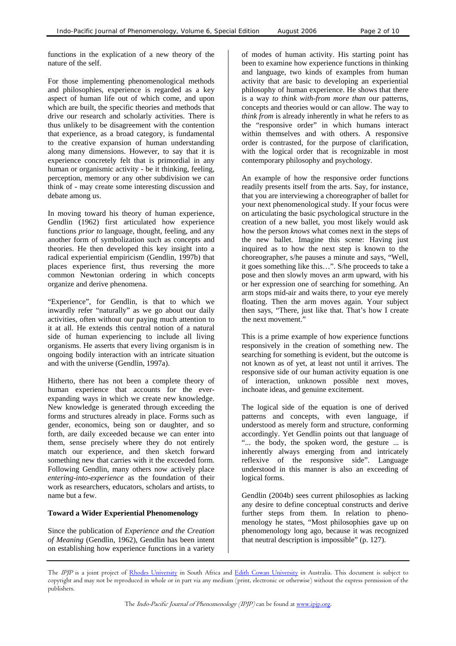functions in the explication of a new theory of the nature of the self.

For those implementing phenomenological methods and philosophies, experience is regarded as a key aspect of human life out of which come, and upon which are built, the specific theories and methods that drive our research and scholarly activities. There is thus unlikely to be disagreement with the contention that experience, as a broad category, is fundamental to the creative expansion of human understanding along many dimensions. However, to say that it is experience concretely felt that is primordial in any human or organismic activity - be it thinking, feeling, perception, memory or any other subdivision we can think of - may create some interesting discussion and debate among us.

In moving toward his theory of human experience, Gendlin (1962) first articulated how experience functions *prior to* language, thought, feeling, and any another form of symbolization such as concepts and theories. He then developed this key insight into a radical experiential empiricism (Gendlin, 1997b) that places experience first, thus reversing the more common Newtonian ordering in which concepts organize and derive phenomena.

"Experience", for Gendlin, is that to which we inwardly refer "naturally" as we go about our daily activities, often without our paying much attention to it at all. He extends this central notion of a natural side of human experiencing to include all living organisms. He asserts that every living organism is in ongoing bodily interaction with an intricate situation and with the universe (Gendlin, 1997a).

Hitherto, there has not been a complete theory of human experience that accounts for the everexpanding ways in which we create new knowledge. New knowledge is generated through exceeding the forms and structures already in place. Forms such as gender, economics, being son or daughter, and so forth, are daily exceeded because we can enter into them, sense precisely where they do not entirely match our experience, and then sketch forward something new that carries with it the exceeded form. Following Gendlin, many others now actively place *entering-into-experience* as the foundation of their work as researchers, educators, scholars and artists, to name but a few.

## **Toward a Wider Experiential Phenomenology**

Since the publication of *Experience and the Creation of Meaning* (Gendlin, 1962), Gendlin has been intent on establishing how experience functions in a variety

of modes of human activity. His starting point has been to examine how experience functions in thinking and language, two kinds of examples from human activity that are basic to developing an experiential philosophy of human experience. He shows that there is a way *to think with-from more than* our patterns, concepts and theories would or can allow. The way to *think from* is already inherently in what he refers to as the "responsive order" in which humans interact within themselves and with others. A responsive order is contrasted, for the purpose of clarification, with the logical order that is recognizable in most contemporary philosophy and psychology.

An example of how the responsive order functions readily presents itself from the arts. Say, for instance, that you are interviewing a choreographer of ballet for your next phenomenological study. If your focus were on articulating the basic psychological structure in the creation of a new ballet, you most likely would ask how the person *knows* what comes next in the steps of the new ballet. Imagine this scene: Having just inquired as to how the next step is known to the choreographer, s/he pauses a minute and says, "Well, it goes something like this…". S/he proceeds to take a pose and then slowly moves an arm upward, with his or her expression one of searching for something. An arm stops mid-air and waits there, to your eye merely floating. Then the arm moves again. Your subject then says, "There, just like that. That's how I create the next movement."

This is a prime example of how experience functions responsively in the creation of something new. The searching for something is evident, but the outcome is not known as of yet, at least not until it arrives. The responsive side of our human activity equation is one of interaction, unknown possible next moves, inchoate ideas, and genuine excitement.

The logical side of the equation is one of derived patterns and concepts, with even language, if understood as merely form and structure, conforming accordingly. Yet Gendlin points out that language of "... the body, the spoken word, the gesture ... is inherently always emerging from and intricately reflexive of the responsive side". Language understood in this manner is also an exceeding of logical forms.

Gendlin (2004b) sees current philosophies as lacking any desire to define conceptual constructs and derive further steps from them. In relation to phenomenology he states, "Most philosophies gave up on phenomenology long ago, because it was recognized that neutral description is impossible" (p. 127).

The IPJP is a joint project of Rhodes University in South Africa and Edith Cowan University in Australia. This document is subject to copyright and may not be reproduced in whole or in part via any medium (print, electronic or otherwise) without the express permission of the publishers.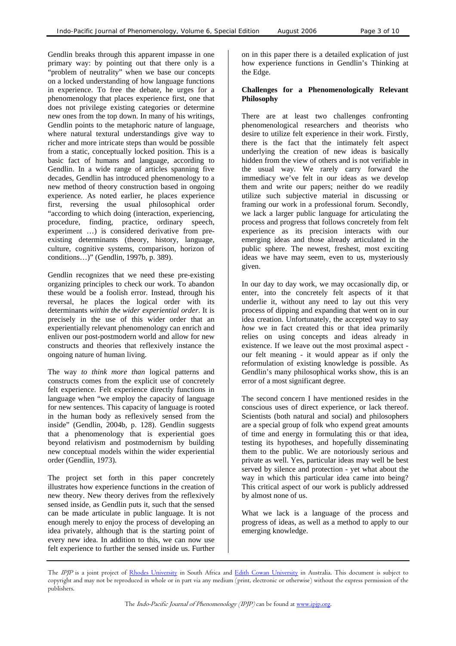Gendlin breaks through this apparent impasse in one primary way: by pointing out that there only is a "problem of neutrality" when we base our concepts on a locked understanding of how language functions in experience. To free the debate, he urges for a phenomenology that places experience first, one that does not privilege existing categories or determine new ones from the top down. In many of his writings, Gendlin points to the metaphoric nature of language, where natural textural understandings give way to richer and more intricate steps than would be possible from a static, conceptually locked position. This is a basic fact of humans and language, according to Gendlin. In a wide range of articles spanning five decades, Gendlin has introduced phenomenology to a new method of theory construction based in ongoing experience. As noted earlier, he places experience first, reversing the usual philosophical order "according to which doing (interaction, experiencing, procedure, finding, practice, ordinary speech, experiment …) is considered derivative from preexisting determinants (theory, history, language, culture, cognitive systems, comparison, horizon of conditions…)" (Gendlin, 1997b, p. 389).

Gendlin recognizes that we need these pre-existing organizing principles to check our work. To abandon these would be a foolish error. Instead, through his reversal, he places the logical order with its determinants *within the wider experiential order*. It is precisely in the use of this wider order that an experientially relevant phenomenology can enrich and enliven our post-postmodern world and allow for new constructs and theories that reflexively instance the ongoing nature of human living.

The way *to think more than* logical patterns and constructs comes from the explicit use of concretely felt experience. Felt experience directly functions in language when "we employ the capacity of language for new sentences. This capacity of language is rooted in the human body as reflexively sensed from the inside" (Gendlin, 2004b, p. 128). Gendlin suggests that a phenomenology that is experiential goes beyond relativism and postmodernism by building new conceptual models within the wider experiential order (Gendlin, 1973).

The project set forth in this paper concretely illustrates how experience functions in the creation of new theory. New theory derives from the reflexively sensed inside, as Gendlin puts it, such that the sensed can be made articulate in public language. It is not enough merely to enjoy the process of developing an idea privately, although that is the starting point of every new idea. In addition to this, we can now use felt experience to further the sensed inside us. Further

on in this paper there is a detailed explication of just how experience functions in Gendlin's Thinking at the Edge.

#### **Challenges for a Phenomenologically Relevant Philosophy**

There are at least two challenges confronting phenomenological researchers and theorists who desire to utilize felt experience in their work. Firstly, there is the fact that the intimately felt aspect underlying the creation of new ideas is basically hidden from the view of others and is not verifiable in the usual way. We rarely carry forward the immediacy we've felt in our ideas as we develop them and write our papers; neither do we readily utilize such subjective material in discussing or framing our work in a professional forum. Secondly, we lack a larger public language for articulating the process and progress that follows concretely from felt experience as its precision interacts with our emerging ideas and those already articulated in the public sphere. The newest, freshest, most exciting ideas we have may seem, even to us, mysteriously given.

In our day to day work, we may occasionally dip, or enter, into the concretely felt aspects of it that underlie it, without any need to lay out this very process of dipping and expanding that went on in our idea creation. Unfortunately, the accepted way to say *how* we in fact created this or that idea primarily relies on using concepts and ideas already in existence. If we leave out the most proximal aspect our felt meaning - it would appear as if only the reformulation of existing knowledge is possible. As Gendlin's many philosophical works show, this is an error of a most significant degree.

The second concern I have mentioned resides in the conscious uses of direct experience, or lack thereof. Scientists (both natural and social) and philosophers are a special group of folk who expend great amounts of time and energy in formulating this or that idea, testing its hypotheses, and hopefully disseminating them to the public. We are notoriously serious and private as well. Yes, particular ideas may well be best served by silence and protection - yet what about the way in which this particular idea came into being? This critical aspect of our work is publicly addressed by almost none of us.

What we lack is a language of the process and progress of ideas, as well as a method to apply to our emerging knowledge.

The IPJP is a joint project of Rhodes University in South Africa and Edith Cowan University in Australia. This document is subject to copyright and may not be reproduced in whole or in part via any medium (print, electronic or otherwise) without the express permission of the publishers.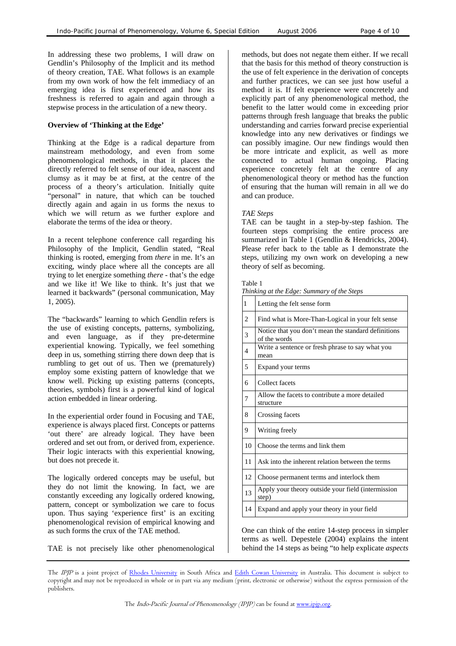In addressing these two problems, I will draw on Gendlin's Philosophy of the Implicit and its method of theory creation, TAE. What follows is an example from my own work of how the felt immediacy of an emerging idea is first experienced and how its freshness is referred to again and again through a stepwise process in the articulation of a new theory.

#### **Overview of 'Thinking at the Edge'**

Thinking at the Edge is a radical departure from mainstream methodology, and even from some phenomenological methods, in that it places the directly referred to felt sense of our idea, nascent and clumsy as it may be at first, at the centre of the process of a theory's articulation. Initially quite "personal" in nature, that which can be touched directly again and again in us forms the nexus to which we will return as we further explore and elaborate the terms of the idea or theory.

In a recent telephone conference call regarding his Philosophy of the Implicit, Gendlin stated, "Real thinking is rooted, emerging from *there* in me. It's an exciting, windy place where all the concepts are all trying to let energize something *there* - that's the edge and we like it! We like to think. It's just that we learned it backwards" (personal communication, May 1, 2005).

The "backwards" learning to which Gendlin refers is the use of existing concepts, patterns, symbolizing, and even language, as if they pre-determine experiential knowing. Typically, we feel something deep in us, something stirring there down deep that is rumbling to get out of us. Then we (prematurely) employ some existing pattern of knowledge that we know well. Picking up existing patterns (concepts, theories, symbols) first is a powerful kind of logical action embedded in linear ordering.

In the experiential order found in Focusing and TAE, experience is always placed first. Concepts or patterns 'out there' are already logical. They have been ordered and set out from, or derived from, experience. Their logic interacts with this experiential knowing, but does not precede it.

The logically ordered concepts may be useful, but they do not limit the knowing. In fact, we are constantly exceeding any logically ordered knowing, pattern, concept or symbolization we care to focus upon. Thus saying 'experience first' is an exciting phenomenological revision of empirical knowing and as such forms the crux of the TAE method.

TAE is not precisely like other phenomenological

methods, but does not negate them either. If we recall that the basis for this method of theory construction is the use of felt experience in the derivation of concepts and further practices, we can see just how useful a method it is. If felt experience were concretely and explicitly part of any phenomenological method, the benefit to the latter would come in exceeding prior patterns through fresh language that breaks the public understanding and carries forward precise experiential knowledge into any new derivatives or findings we can possibly imagine. Our new findings would then be more intricate and explicit, as well as more connected to actual human ongoing. Placing experience concretely felt at the centre of any phenomenological theory or method has the function of ensuring that the human will remain in all we do and can produce.

#### *TAE Steps*

TAE can be taught in a step-by-step fashion. The fourteen steps comprising the entire process are summarized in Table 1 (Gendlin & Hendricks, 2004). Please refer back to the table as I demonstrate the steps, utilizing my own work on developing a new theory of self as becoming.

#### Table 1

|  |  | Thinking at the Edge: Summary of the Steps |  |
|--|--|--------------------------------------------|--|

| $\mathbf{1}$ | Letting the felt sense form                                         |  |  |  |  |
|--------------|---------------------------------------------------------------------|--|--|--|--|
| 2            | Find what is More-Than-Logical in your felt sense                   |  |  |  |  |
| 3            | Notice that you don't mean the standard definitions<br>of the words |  |  |  |  |
| 4            | Write a sentence or fresh phrase to say what you<br>mean            |  |  |  |  |
| 5            | Expand your terms                                                   |  |  |  |  |
| 6            | Collect facets                                                      |  |  |  |  |
| 7            | Allow the facets to contribute a more detailed<br>structure         |  |  |  |  |
| 8            | Crossing facets                                                     |  |  |  |  |
| 9            | Writing freely                                                      |  |  |  |  |
| 10           | Choose the terms and link them                                      |  |  |  |  |
| 11           | Ask into the inherent relation between the terms                    |  |  |  |  |
| 12           | Choose permanent terms and interlock them                           |  |  |  |  |
| 13           | Apply your theory outside your field (intermission<br>step)         |  |  |  |  |
| 14           | Expand and apply your theory in your field                          |  |  |  |  |

One can think of the entire 14-step process in simpler terms as well. Depestele (2004) explains the intent behind the 14 steps as being "to help explicate *aspects*

The IPJP is a joint project of Rhodes University in South Africa and Edith Cowan University in Australia. This document is subject to copyright and may not be reproduced in whole or in part via any medium (print, electronic or otherwise) without the express permission of the publishers.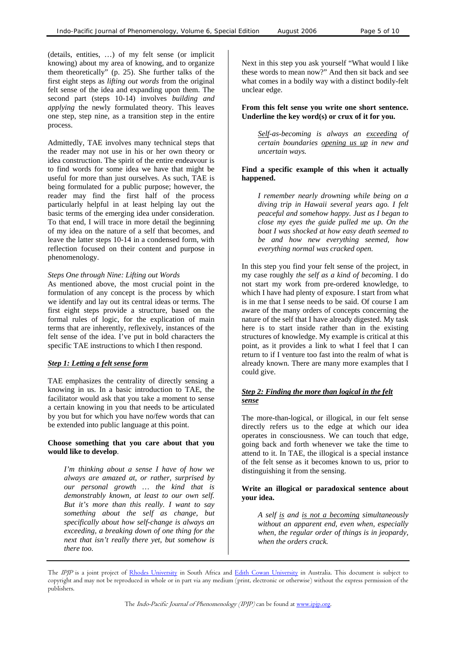(details, entities, …) of my felt sense (or implicit knowing) about my area of knowing, and to organize them theoretically" (p. 25). She further talks of the first eight steps as *lifting out words* from the original felt sense of the idea and expanding upon them. The second part (steps 10-14) involves *building and applying* the newly formulated theory. This leaves one step, step nine, as a transition step in the entire process.

Admittedly, TAE involves many technical steps that the reader may not use in his or her own theory or idea construction. The spirit of the entire endeavour is to find words for some idea we have that might be useful for more than just ourselves. As such, TAE is being formulated for a public purpose; however, the reader may find the first half of the process particularly helpful in at least helping lay out the basic terms of the emerging idea under consideration. To that end, I will trace in more detail the beginning of my idea on the nature of a self that becomes, and leave the latter steps 10-14 in a condensed form, with reflection focused on their content and purpose in phenomenology.

#### *Steps One through Nine: Lifting out Words*

As mentioned above, the most crucial point in the formulation of any concept is the process by which we identify and lay out its central ideas or terms. The first eight steps provide a structure, based on the formal rules of logic, for the explication of main terms that are inherently, reflexively, instances of the felt sense of the idea. I've put in bold characters the specific TAE instructions to which I then respond.

## *Step 1: Letting a felt sense form*

TAE emphasizes the centrality of directly sensing a knowing in us. In a basic introduction to TAE, the facilitator would ask that you take a moment to sense a certain knowing in you that needs to be articulated by you but for which you have no/few words that can be extended into public language at this point.

## **Choose something that you care about that you would like to develop**.

*I'm thinking about a sense I have of how we always are amazed at, or rather, surprised by our personal growth … the kind that is demonstrably known, at least to our own self. But it's more than this really. I want to say something about the self as change, but specifically about how self-change is always an exceeding, a breaking down of one thing for the next that isn't really there yet, but somehow is there too.* 

Next in this step you ask yourself "What would I like these words to mean now?" And then sit back and see what comes in a bodily way with a distinct bodily-felt unclear edge.

## **From this felt sense you write one short sentence. Underline the key word(s) or crux of it for you.**

*Self-as-becoming is always an exceeding of certain boundaries opening us up in new and uncertain ways.* 

## **Find a specific example of this when it actually happened.**

*I remember nearly drowning while being on a diving trip in Hawaii several years ago. I felt peaceful and somehow happy. Just as I began to close my eyes the guide pulled me up. On the boat I was shocked at how easy death seemed to be and how new everything seemed, how everything normal was cracked open.* 

In this step you find your felt sense of the project, in my case roughly *the self as a kind of becoming*. I do not start my work from pre-ordered knowledge, to which I have had plenty of exposure. I start from what is in me that I sense needs to be said. Of course I am aware of the many orders of concepts concerning the nature of the self that I have already digested. My task here is to start inside rather than in the existing structures of knowledge. My example is critical at this point, as it provides a link to what I feel that I can return to if I venture too fast into the realm of what is already known. There are many more examples that I could give.

# *Step 2: Finding the more than logical in the felt sense*

The more-than-logical, or illogical, in our felt sense directly refers us to the edge at which our idea operates in consciousness. We can touch that edge, going back and forth whenever we take the time to attend to it. In TAE, the illogical is a special instance of the felt sense as it becomes known to us, prior to distinguishing it from the sensing.

#### **Write an illogical or paradoxical sentence about your idea.**

*A self is and is not a becoming simultaneously without an apparent end, even when, especially when, the regular order of things is in jeopardy, when the orders crack.* 

The IPJP is a joint project of Rhodes University in South Africa and Edith Cowan University in Australia. This document is subject to copyright and may not be reproduced in whole or in part via any medium (print, electronic or otherwise) without the express permission of the publishers.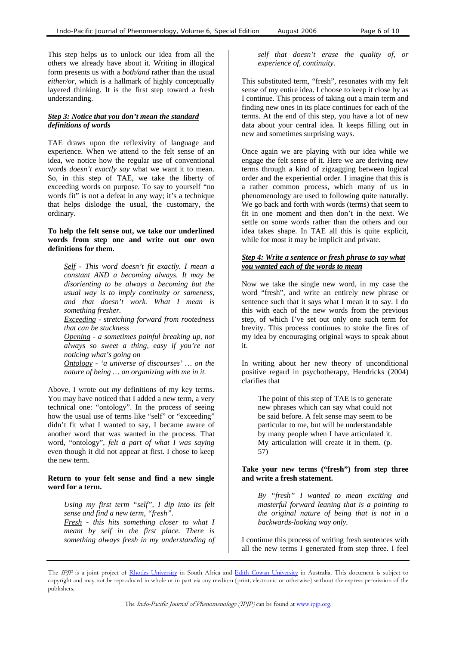This step helps us to unlock our idea from all the others we already have about it. Writing in illogical form presents us with a *both/and* rather than the usual *either/or*, which is a hallmark of highly conceptually layered thinking. It is the first step toward a fresh understanding.

# *Step 3: Notice that you don't mean the standard definitions of words*

TAE draws upon the reflexivity of language and experience. When we attend to the felt sense of an idea, we notice how the regular use of conventional words *doesn't exactly say* what we want it to mean. So, in this step of TAE, we take the liberty of exceeding words on purpose. To say to yourself "no words fit" is not a defeat in any way; it's a technique that helps dislodge the usual, the customary, the ordinary.

#### **To help the felt sense out, we take our underlined words from step one and write out our own definitions for them.**

*Self - This word doesn't fit exactly. I mean a constant AND a becoming always. It may be disorienting to be always a becoming but the usual way is to imply continuity or sameness, and that doesn't work. What I mean is something fresher.* 

*Exceeding - stretching forward from rootedness that can be stuckness* 

*Opening - a sometimes painful breaking up, not always so sweet a thing, easy if you're not noticing what's going on*

*Ontology - 'a universe of discourses' … on the nature of being … an organizing with me in it.*

Above, I wrote out *my* definitions of my key terms. You may have noticed that I added a new term, a very technical one: "ontology". In the process of seeing how the usual use of terms like "self" or "exceeding" didn't fit what I wanted to say, I became aware of another word that was wanted in the process. That word, "ontology", *felt a part of what I was saying* even though it did not appear at first. I chose to keep the new term.

## **Return to your felt sense and find a new single word for a term.**

*Using my first term "self", I dip into its felt sense and find a new term, "fresh". Fresh - this hits something closer to what I* 

*meant by self in the first place. There is something always fresh in my understanding of* *self that doesn't erase the quality of, or experience of, continuity.* 

This substituted term, "fresh", resonates with my felt sense of my entire idea. I choose to keep it close by as I continue. This process of taking out a main term and finding new ones in its place continues for each of the terms. At the end of this step, you have a lot of new data about your central idea. It keeps filling out in new and sometimes surprising ways.

Once again we are playing with our idea while we engage the felt sense of it. Here we are deriving new terms through a kind of zigzagging between logical order and the experiential order. I imagine that this is a rather common process, which many of us in phenomenology are used to following quite naturally. We go back and forth with words (terms) that seem to fit in one moment and then don't in the next. We settle on some words rather than the others and our idea takes shape. In TAE all this is quite explicit, while for most it may be implicit and private.

#### *Step 4: Write a sentence or fresh phrase to say what you wanted each of the words to mean*

Now we take the single new word, in my case the word "fresh", and write an entirely new phrase or sentence such that it says what I mean it to say. I do this with each of the new words from the previous step, of which I've set out only one such term for brevity. This process continues to stoke the fires of my idea by encouraging original ways to speak about it.

In writing about her new theory of unconditional positive regard in psychotherapy, Hendricks (2004) clarifies that

The point of this step of TAE is to generate new phrases which can say what could not be said before. A felt sense may seem to be particular to me, but will be understandable by many people when I have articulated it. My articulation will create it in them. (p. 57)

# **Take your new terms ("fresh") from step three and write a fresh statement.**

*By "fresh" I wanted to mean exciting and masterful forward leaning that is a pointing to the original nature of being that is not in a backwards-looking way only.*

I continue this process of writing fresh sentences with all the new terms I generated from step three. I feel

The IPJP is a joint project of Rhodes University in South Africa and Edith Cowan University in Australia. This document is subject to copyright and may not be reproduced in whole or in part via any medium (print, electronic or otherwise) without the express permission of the publishers.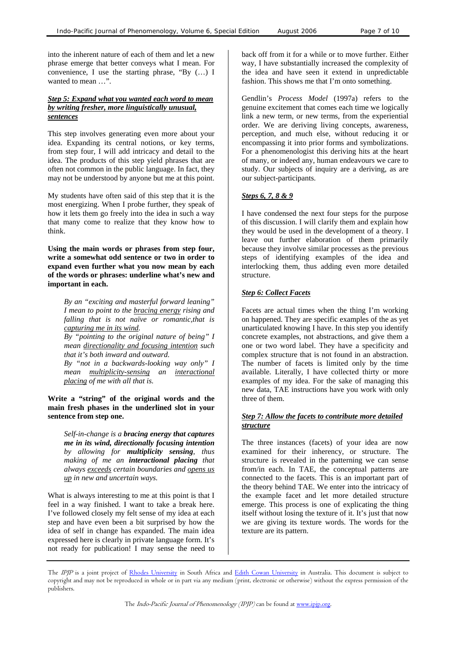into the inherent nature of each of them and let a new phrase emerge that better conveys what I mean. For convenience, I use the starting phrase, "By (…) I wanted to mean ...".

# *Step 5: Expand what you wanted each word to mean by writing fresher, more linguistically unusual, sentences*

This step involves generating even more about your idea. Expanding its central notions, or key terms, from step four, I will add intricacy and detail to the idea. The products of this step yield phrases that are often not common in the public language. In fact, they may not be understood by anyone but me at this point.

My students have often said of this step that it is the most energizing. When I probe further, they speak of how it lets them go freely into the idea in such a way that many come to realize that they know how to think.

**Using the main words or phrases from step four, write a somewhat odd sentence or two in order to expand even further what you now mean by each of the words or phrases: underline what's new and important in each.** 

*By an "exciting and masterful forward leaning" I mean to point to the bracing energy rising and falling that is not naïve or romantic,that is capturing me in its wind.* 

*By "pointing to the original nature of being" I mean directionality and focusing intention such that it's both inward and outward.* 

*By "not in a backwards-looking way only" I mean multiplicity-sensing an interactional placing of me with all that is.* 

# **Write a "string" of the original words and the main fresh phases in the underlined slot in your sentence from step one.**

*Self-in-change is a bracing energy that captures me in its wind, directionally focusing intention by allowing for multiplicity sensing, thus making of me an interactional placing that always exceeds certain boundaries and opens us up in new and uncertain ways.* 

What is always interesting to me at this point is that I feel in a way finished. I want to take a break here. I've followed closely my felt sense of my idea at each step and have even been a bit surprised by how the idea of self in change has expanded. The main idea expressed here is clearly in private language form. It's not ready for publication! I may sense the need to

back off from it for a while or to move further. Either way, I have substantially increased the complexity of the idea and have seen it extend in unpredictable fashion. This shows me that I'm onto something.

Gendlin's *Process Model* (1997a) refers to the genuine excitement that comes each time we logically link a new term, or new terms, from the experiential order. We are deriving living concepts, awareness, perception, and much else, without reducing it or encompassing it into prior forms and symbolizations. For a phenomenologist this deriving hits at the heart of many, or indeed any, human endeavours we care to study. Our subjects of inquiry are a deriving, as are our subject-participants.

# *Steps 6, 7, 8 & 9*

I have condensed the next four steps for the purpose of this discussion. I will clarify them and explain how they would be used in the development of a theory. I leave out further elaboration of them primarily because they involve similar processes as the previous steps of identifying examples of the idea and interlocking them, thus adding even more detailed structure.

## *Step 6: Collect Facets*

Facets are actual times when the thing I'm working on happened. They are specific examples of the as yet unarticulated knowing I have. In this step you identify concrete examples, not abstractions, and give them a one or two word label. They have a specificity and complex structure that is not found in an abstraction. The number of facets is limited only by the time available. Literally, I have collected thirty or more examples of my idea. For the sake of managing this new data, TAE instructions have you work with only three of them.

# *Step 7: Allow the facets to contribute more detailed structure*

The three instances (facets) of your idea are now examined for their inherency, or structure. The structure is revealed in the patterning we can sense from/in each. In TAE, the conceptual patterns are connected to the facets. This is an important part of the theory behind TAE. We enter into the intricacy of the example facet and let more detailed structure emerge. This process is one of explicating the thing itself without losing the texture of it. It's just that now we are giving its texture words. The words for the texture are its pattern.

The IPJP is a joint project of Rhodes University in South Africa and Edith Cowan University in Australia. This document is subject to copyright and may not be reproduced in whole or in part via any medium (print, electronic or otherwise) without the express permission of the publishers.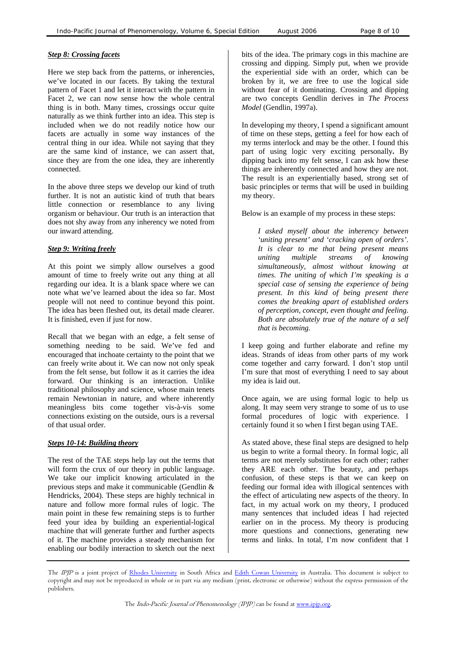## *Step 8: Crossing facets*

Here we step back from the patterns, or inherencies, we've located in our facets. By taking the textural pattern of Facet 1 and let it interact with the pattern in Facet 2, we can now sense how the whole central thing is in both. Many times, crossings occur quite naturally as we think further into an idea. This step is included when we do not readily notice how our facets are actually in some way instances of the central thing in our idea. While not saying that they are the same kind of instance, we can assert that, since they are from the one idea, they are inherently connected.

In the above three steps we develop our kind of truth further. It is not an autistic kind of truth that bears little connection or resemblance to any living organism or behaviour. Our truth is an interaction that does not shy away from any inherency we noted from our inward attending.

#### *Step 9: Writing freely*

At this point we simply allow ourselves a good amount of time to freely write out any thing at all regarding our idea. It is a blank space where we can note what we've learned about the idea so far. Most people will not need to continue beyond this point. The idea has been fleshed out, its detail made clearer. It is finished, even if just for now.

Recall that we began with an edge, a felt sense of something needing to be said. We've fed and encouraged that inchoate certainty to the point that we can freely write about it. We can now not only speak from the felt sense, but follow it as it carries the idea forward. Our thinking is an interaction. Unlike traditional philosophy and science, whose main tenets remain Newtonian in nature, and where inherently meaningless bits come together vis-à-vis some connections existing on the outside, ours is a reversal of that usual order.

#### *Steps 10-14: Building theory*

The rest of the TAE steps help lay out the terms that will form the crux of our theory in public language. We take our implicit knowing articulated in the previous steps and make it communicable (Gendlin & Hendricks, 2004). These steps are highly technical in nature and follow more formal rules of logic. The main point in these few remaining steps is to further feed your idea by building an experiential-logical machine that will generate further and further aspects of it. The machine provides a steady mechanism for enabling our bodily interaction to sketch out the next bits of the idea. The primary cogs in this machine are crossing and dipping. Simply put, when we provide the experiential side with an order, which can be broken by it, we are free to use the logical side without fear of it dominating. Crossing and dipping are two concepts Gendlin derives in *The Process Model* (Gendlin, 1997a).

In developing my theory, I spend a significant amount of time on these steps, getting a feel for how each of my terms interlock and may be the other. I found this part of using logic very exciting personally**.** By dipping back into my felt sense, I can ask how these things are inherently connected and how they are not. The result is an experientially based, strong set of basic principles or terms that will be used in building my theory.

Below is an example of my process in these steps:

*I asked myself about the inherency between 'uniting present' and 'cracking open of orders'. It is clear to me that being present means uniting multiple streams of knowing simultaneously, almost without knowing at times. The uniting of which I'm speaking is a special case of sensing the experience of being present. In this kind of being present there comes the breaking apart of established orders of perception, concept, even thought and feeling. Both are absolutely true of the nature of a self that is becoming.* 

I keep going and further elaborate and refine my ideas. Strands of ideas from other parts of my work come together and carry forward. I don't stop until I'm sure that most of everything I need to say about my idea is laid out.

Once again, we are using formal logic to help us along. It may seem very strange to some of us to use formal procedures of logic with experience. I certainly found it so when I first began using TAE.

As stated above, these final steps are designed to help us begin to write a formal theory. In formal logic, all terms are not merely substitutes for each other; rather they ARE each other. The beauty, and perhaps confusion, of these steps is that we can keep on feeding our formal idea with illogical sentences with the effect of articulating new aspects of the theory. In fact, in my actual work on my theory, I produced many sentences that included ideas I had rejected earlier on in the process. My theory is producing more questions and connections, generating new terms and links. In total, I'm now confident that I

The IPJP is a joint project of Rhodes University in South Africa and Edith Cowan University in Australia. This document is subject to copyright and may not be reproduced in whole or in part via any medium (print, electronic or otherwise) without the express permission of the publishers.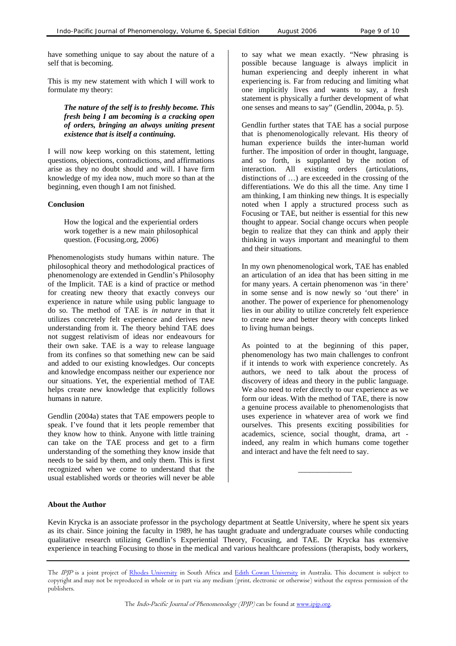have something unique to say about the nature of a self that is becoming.

This is my new statement with which I will work to formulate my theory:

*The nature of the self is to freshly become. This fresh being I am becoming is a cracking open of orders, bringing an always uniting present existence that is itself a continuing.* 

I will now keep working on this statement, letting questions, objections, contradictions, and affirmations arise as they no doubt should and will. I have firm knowledge of my idea now, much more so than at the beginning, even though I am not finished.

#### **Conclusion**

How the logical and the experiential orders work together is a new main philosophical question. (Focusing.org, 2006)

Phenomenologists study humans within nature. The philosophical theory and methodological practices of phenomenology are extended in Gendlin's Philosophy of the Implicit. TAE is a kind of practice or method for creating new theory that exactly conveys our experience in nature while using public language to do so. The method of TAE is *in nature* in that it utilizes concretely felt experience and derives new understanding from it. The theory behind TAE does not suggest relativism of ideas nor endeavours for their own sake. TAE is a way to release language from its confines so that something new can be said and added to our existing knowledges. Our concepts and knowledge encompass neither our experience nor our situations. Yet, the experiential method of TAE helps create new knowledge that explicitly follows humans in nature.

Gendlin (2004a) states that TAE empowers people to speak. I've found that it lets people remember that they know how to think. Anyone with little training can take on the TAE process and get to a firm understanding of the something they know inside that needs to be said by them, and only them. This is first recognized when we come to understand that the usual established words or theories will never be able

to say what we mean exactly. "New phrasing is possible because language is always implicit in human experiencing and deeply inherent in what experiencing is. Far from reducing and limiting what one implicitly lives and wants to say, a fresh statement is physically a further development of what one senses and means to say" (Gendlin, 2004a, p. 5).

Gendlin further states that TAE has a social purpose that is phenomenologically relevant. His theory of human experience builds the inter-human world further. The imposition of order in thought, language, and so forth, is supplanted by the notion of interaction. All existing orders (articulations, distinctions of …) are exceeded in the crossing of the differentiations. We do this all the time. Any time I am thinking, I am thinking new things. It is especially noted when I apply a structured process such as Focusing or TAE, but neither is essential for this new thought to appear. Social change occurs when people begin to realize that they can think and apply their thinking in ways important and meaningful to them and their situations.

In my own phenomenological work, TAE has enabled an articulation of an idea that has been sitting in me for many years. A certain phenomenon was 'in there' in some sense and is now newly so 'out there' in another. The power of experience for phenomenology lies in our ability to utilize concretely felt experience to create new and better theory with concepts linked to living human beings.

As pointed to at the beginning of this paper, phenomenology has two main challenges to confront if it intends to work with experience concretely. As authors, we need to talk about the process of discovery of ideas and theory in the public language. We also need to refer directly to our experience as we form our ideas. With the method of TAE, there is now a genuine process available to phenomenologists that uses experience in whatever area of work we find ourselves. This presents exciting possibilities for academics, science, social thought, drama, art indeed, any realm in which humans come together and interact and have the felt need to say.

\_\_\_\_\_\_\_\_\_\_\_\_\_\_

## **About the Author**

Kevin Krycka is an associate professor in the psychology department at Seattle University, where he spent six years as its chair. Since joining the faculty in 1989, he has taught graduate and undergraduate courses while conducting qualitative research utilizing Gendlin's Experiential Theory, Focusing, and TAE. Dr Krycka has extensive experience in teaching Focusing to those in the medical and various healthcare professions (therapists, body workers,

The IPJP is a joint project of Rhodes University in South Africa and Edith Cowan University in Australia. This document is subject to copyright and may not be reproduced in whole or in part via any medium (print, electronic or otherwise) without the express permission of the publishers.